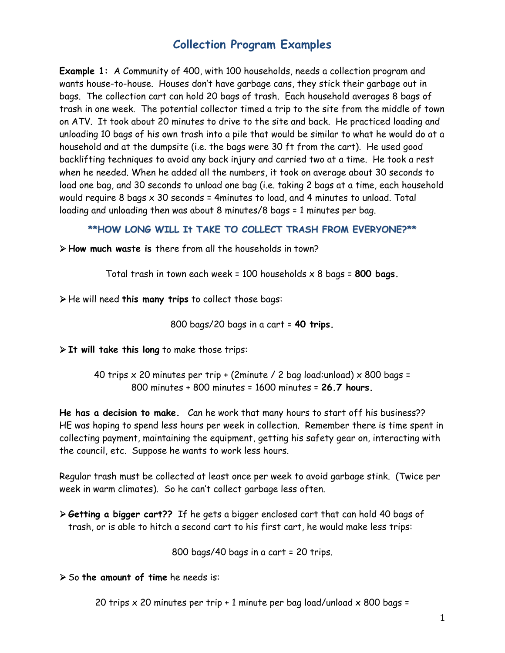# **Collection Program Examples**

**Example 1:** A Community of 400, with 100 households, needs a collection program and wants house-to-house. Houses don't have garbage cans, they stick their garbage out in bags. The collection cart can hold 20 bags of trash. Each household averages 8 bags of trash in one week. The potential collector timed a trip to the site from the middle of town on ATV. It took about 20 minutes to drive to the site and back. He practiced loading and unloading 10 bags of his own trash into a pile that would be similar to what he would do at a household and at the dumpsite (i.e. the bags were 30 ft from the cart). He used good backlifting techniques to avoid any back injury and carried two at a time. He took a rest when he needed. When he added all the numbers, it took on average about 30 seconds to load one bag, and 30 seconds to unload one bag (i.e. taking 2 bags at a time, each household would require 8 bags x 30 seconds = 4minutes to load, and 4 minutes to unload. Total loading and unloading then was about 8 minutes/8 bags = 1 minutes per bag.

### **\*\*HOW LONG WILL It TAKE TO COLLECT TRASH FROM EVERYONE?\*\***

**How much waste is** there from all the households in town?

Total trash in town each week = 100 households x 8 bags = **800 bags.** 

He will need **this many trips** to collect those bags:

800 bags/20 bags in a cart = **40 trips.**

**It will take this long** to make those trips:

40 trips  $\times$  20 minutes per trip + (2minute / 2 bag load:unload)  $\times$  800 bags = 800 minutes + 800 minutes = 1600 minutes = **26.7 hours.** 

**He has a decision to make.** Can he work that many hours to start off his business?? HE was hoping to spend less hours per week in collection. Remember there is time spent in collecting payment, maintaining the equipment, getting his safety gear on, interacting with the council, etc. Suppose he wants to work less hours.

Regular trash must be collected at least once per week to avoid garbage stink. (Twice per week in warm climates). So he can't collect garbage less often.

 **Getting a bigger cart??** If he gets a bigger enclosed cart that can hold 40 bags of trash, or is able to hitch a second cart to his first cart, he would make less trips:

800 bags/40 bags in a cart = 20 trips.

So **the amount of time** he needs is:

20 trips  $\times$  20 minutes per trip + 1 minute per bag load/unload  $\times$  800 bags =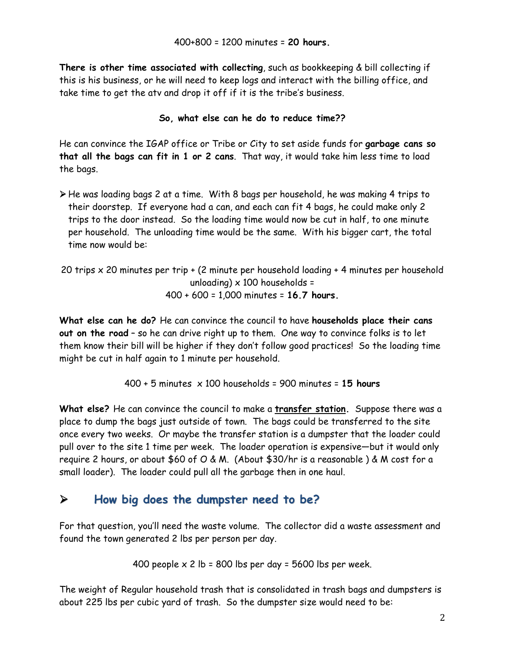**There is other time associated with collecting**, such as bookkeeping & bill collecting if this is his business, or he will need to keep logs and interact with the billing office, and take time to get the atv and drop it off if it is the tribe's business.

## **So, what else can he do to reduce time??**

He can convince the IGAP office or Tribe or City to set aside funds for **garbage cans so that all the bags can fit in 1 or 2 cans**. That way, it would take him less time to load the bags.

- He was loading bags 2 at a time. With 8 bags per household, he was making 4 trips to their doorstep. If everyone had a can, and each can fit 4 bags, he could make only 2 trips to the door instead. So the loading time would now be cut in half, to one minute per household. The unloading time would be the same. With his bigger cart, the total time now would be:
- 20 trips x 20 minutes per trip + (2 minute per household loading + 4 minutes per household unloading)  $\times$  100 households = 400 + 600 = 1,000 minutes = **16.7 hours.**

**What else can he do?** He can convince the council to have **households place their cans out on the road** – so he can drive right up to them. One way to convince folks is to let them know their bill will be higher if they don't follow good practices! So the loading time might be cut in half again to 1 minute per household.

$$
400 + 5
$$
 minutes × 100 households = 900 minutes = 15 hours

**What else?** He can convince the council to make a **transfer station.** Suppose there was a place to dump the bags just outside of town. The bags could be transferred to the site once every two weeks. Or maybe the transfer station is a dumpster that the loader could pull over to the site 1 time per week. The loader operation is expensive—but it would only require 2 hours, or about \$60 of O & M. (About \$30/hr is a reasonable ) & M cost for a small loader). The loader could pull all the garbage then in one haul.

# **How big does the dumpster need to be?**

For that question, you'll need the waste volume. The collector did a waste assessment and found the town generated 2 lbs per person per day.

400 people 
$$
x
$$
 2 lb = 800 lbs per day = 5600 lbs per week.

The weight of Regular household trash that is consolidated in trash bags and dumpsters is about 225 lbs per cubic yard of trash. So the dumpster size would need to be: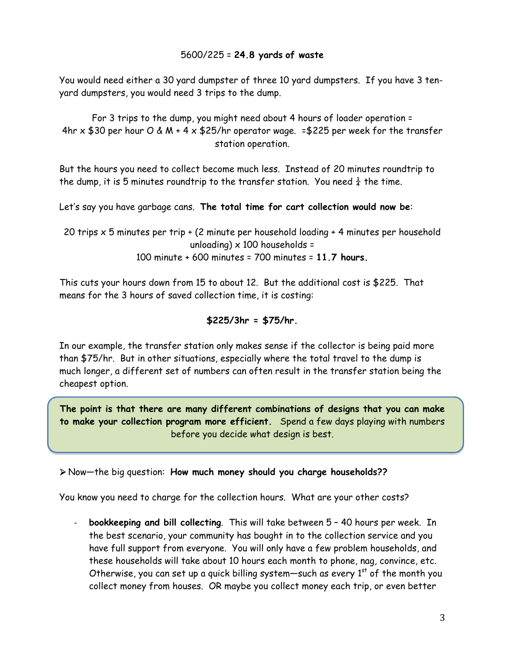## 5600/225 = **24.8 yards of waste**

You would need either a 30 yard dumpster of three 10 yard dumpsters. If you have 3 tenyard dumpsters, you would need 3 trips to the dump.

For 3 trips to the dump, you might need about 4 hours of loader operation = 4hr  $\times$  \$30 per hour O & M + 4  $\times$  \$25/hr operator wage. = \$225 per week for the transfer station operation.

But the hours you need to collect become much less. Instead of 20 minutes roundtrip to the dump, it is 5 minutes roundtrip to the transfer station. You need  $\frac{1}{4}$  the time.

Let's say you have garbage cans. **The total time for cart collection would now be**:

20 trips x 5 minutes per trip + (2 minute per household loading + 4 minutes per household unloading)  $\times$  100 households = 100 minute + 600 minutes = 700 minutes = **11.7 hours.** 

This cuts your hours down from 15 to about 12. But the additional cost is \$225. That means for the 3 hours of saved collection time, it is costing:

### **\$225/3hr = \$75/hr.**

In our example, the transfer station only makes sense if the collector is being paid more than \$75/hr. But in other situations, especially where the total travel to the dump is much longer, a different set of numbers can often result in the transfer station being the cheapest option.

**The point is that there are many different combinations of designs that you can make to make your collection program more efficient.** Spend a few days playing with numbers before you decide what design is best.

Now—the big question: **How much money should you charge households??** 

You know you need to charge for the collection hours. What are your other costs?

‐ **bookkeeping and bill collecting**. This will take between 5 – 40 hours per week. In the best scenario, your community has bought in to the collection service and you have full support from everyone. You will only have a few problem households, and these households will take about 10 hours each month to phone, nag, convince, etc. Otherwise, you can set up a quick billing system—such as every  $1<sup>st</sup>$  of the month you collect money from houses. OR maybe you collect money each trip, or even better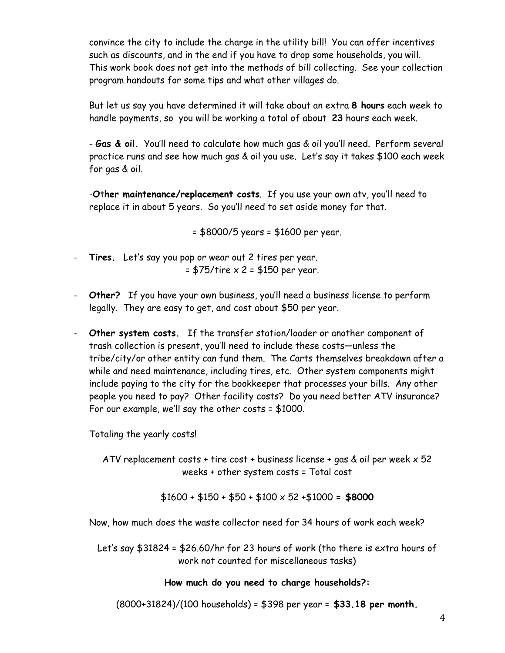convince the city to include the charge in the utility bill! You can offer incentives such as discounts, and in the end if you have to drop some households, you will. This work book does not get into the methods of bill collecting. See your collection program handouts for some tips and what other villages do.

But let us say you have determined it will take about an extra **8 hours** each week to handle payments, so you will be working a total of about **23** hours each week.

- **Gas & oil.** You'll need to calculate how much gas & oil you'll need. Perform several practice runs and see how much gas & oil you use. Let's say it takes \$100 each week for gas & oil.

-**O**t**her maintenance/replacement costs**. If you use your own atv, you'll need to replace it in about 5 years. So you'll need to set aside money for that.

= \$8000/5 years = \$1600 per year.

- ‐ **Tires.** Let's say you pop or wear out 2 tires per year.  $= $75/$ tire  $\times 2 = $150$  per year.
- ‐ **Other?** If you have your own business, you'll need a business license to perform legally. They are easy to get, and cost about \$50 per year.
- ‐ **Other system costs.** If the transfer station/loader or another component of trash collection is present, you'll need to include these costs—unless the tribe/city/or other entity can fund them. The Carts themselves breakdown after a while and need maintenance, including tires, etc. Other system components might include paying to the city for the bookkeeper that processes your bills. Any other people you need to pay? Other facility costs? Do you need better ATV insurance? For our example, we'll say the other costs = \$1000.

Totaling the yearly costs!

ATV replacement costs + tire cost + business license + gas & oil per week  $\times$  52 weeks + other system costs = Total cost

\$1600 + \$150 + \$50 + \$100 x 52 +\$1000 **= \$8000** 

Now, how much does the waste collector need for 34 hours of work each week?

Let's say \$31824 = \$26.60/hr for 23 hours of work (tho there is extra hours of work not counted for miscellaneous tasks)

#### **How much do you need to charge households?:**

(8000+31824)/(100 households) = \$398 per year = **\$33.18 per month.**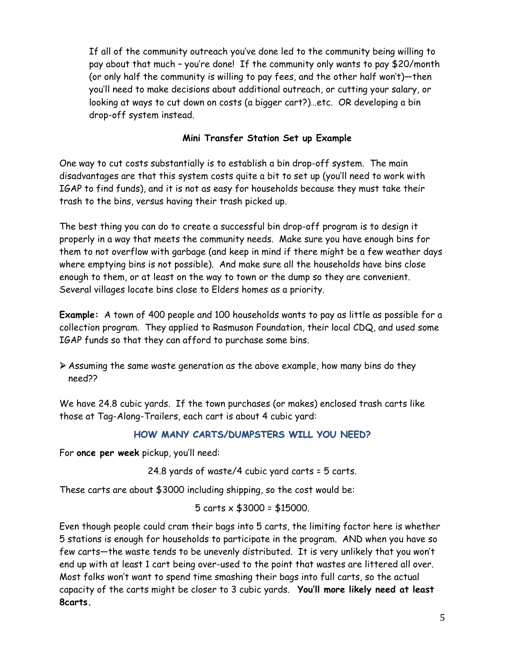If all of the community outreach you've done led to the community being willing to pay about that much – you're done! If the community only wants to pay \$20/month (or only half the community is willing to pay fees, and the other half won't)—then you'll need to make decisions about additional outreach, or cutting your salary, or looking at ways to cut down on costs (a bigger cart?)…etc. OR developing a bin drop-off system instead.

## **Mini Transfer Station Set up Example**

One way to cut costs substantially is to establish a bin drop-off system. The main disadvantages are that this system costs quite a bit to set up (you'll need to work with IGAP to find funds), and it is not as easy for households because they must take their trash to the bins, versus having their trash picked up.

The best thing you can do to create a successful bin drop-off program is to design it properly in a way that meets the community needs. Make sure you have enough bins for them to not overflow with garbage (and keep in mind if there might be a few weather days where emptying bins is not possible). And make sure all the households have bins close enough to them, or at least on the way to town or the dump so they are convenient. Several villages locate bins close to Elders homes as a priority.

**Example:** A town of 400 people and 100 households wants to pay as little as possible for a collection program. They applied to Rasmuson Foundation, their local CDQ, and used some IGAP funds so that they can afford to purchase some bins.

 Assuming the same waste generation as the above example, how many bins do they need??

We have 24.8 cubic yards. If the town purchases (or makes) enclosed trash carts like those at Tag-Along-Trailers, each cart is about 4 cubic yard:

### **HOW MANY CARTS/DUMPSTERS WILL YOU NEED?**

For **once per week** pickup, you'll need:

24.8 yards of waste/4 cubic yard carts = 5 carts.

These carts are about \$3000 including shipping, so the cost would be:

5 carts  $\times$  \$3000 = \$15000.

Even though people could cram their bags into 5 carts, the limiting factor here is whether 5 stations is enough for households to participate in the program. AND when you have so few carts—the waste tends to be unevenly distributed. It is very unlikely that you won't end up with at least 1 cart being over-used to the point that wastes are littered all over. Most folks won't want to spend time smashing their bags into full carts, so the actual capacity of the carts might be closer to 3 cubic yards. **You'll more likely need at least 8carts.**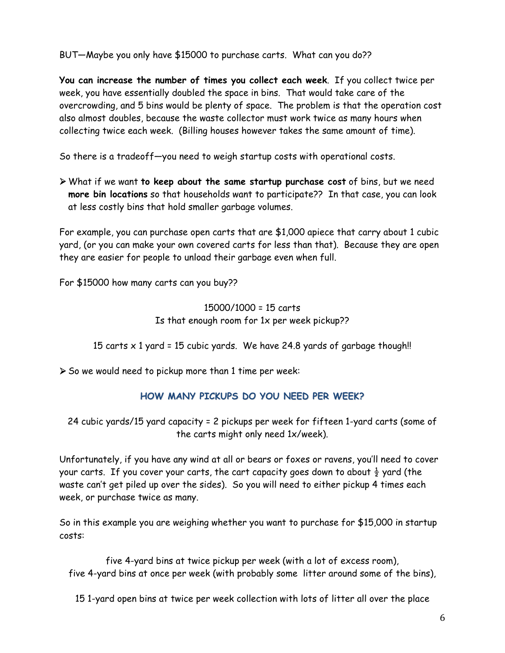BUT—Maybe you only have \$15000 to purchase carts. What can you do??

**You can increase the number of times you collect each week**. If you collect twice per week, you have essentially doubled the space in bins. That would take care of the overcrowding, and 5 bins would be plenty of space. The problem is that the operation cost also almost doubles, because the waste collector must work twice as many hours when collecting twice each week. (Billing houses however takes the same amount of time).

So there is a tradeoff—you need to weigh startup costs with operational costs.

 What if we want **to keep about the same startup purchase cost** of bins, but we need **more bin locations** so that households want to participate?? In that case, you can look at less costly bins that hold smaller garbage volumes.

For example, you can purchase open carts that are \$1,000 apiece that carry about 1 cubic yard, (or you can make your own covered carts for less than that). Because they are open they are easier for people to unload their garbage even when full.

For \$15000 how many carts can you buy??

15000/1000 = 15 carts Is that enough room for 1x per week pickup??

15 carts  $\times$  1 yard = 15 cubic yards. We have 24.8 yards of garbage though!!

 $\triangleright$  So we would need to pickup more than 1 time per week:

## **HOW MANY PICKUPS DO YOU NEED PER WEEK?**

24 cubic yards/15 yard capacity = 2 pickups per week for fifteen 1-yard carts (some of the carts might only need 1x/week).

Unfortunately, if you have any wind at all or bears or foxes or ravens, you'll need to cover your carts. If you cover your carts, the cart capacity goes down to about  $\frac{1}{2}$  yard (the waste can't get piled up over the sides). So you will need to either pickup 4 times each week, or purchase twice as many.

So in this example you are weighing whether you want to purchase for \$15,000 in startup costs:

five 4-yard bins at twice pickup per week (with a lot of excess room), five 4-yard bins at once per week (with probably some litter around some of the bins),

15 1-yard open bins at twice per week collection with lots of litter all over the place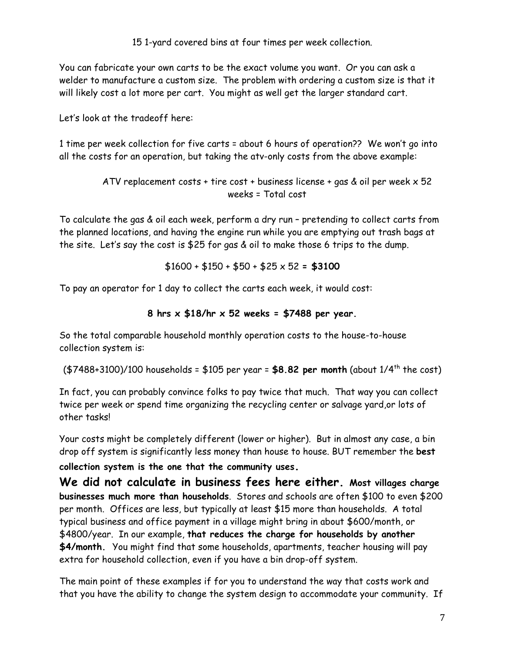15 1-yard covered bins at four times per week collection.

You can fabricate your own carts to be the exact volume you want. Or you can ask a welder to manufacture a custom size. The problem with ordering a custom size is that it will likely cost a lot more per cart. You might as well get the larger standard cart.

Let's look at the tradeoff here:

1 time per week collection for five carts = about 6 hours of operation?? We won't go into all the costs for an operation, but taking the atv-only costs from the above example:

> ATV replacement costs + tire cost + business license + gas  $&$  oil per week  $\times$  52 weeks = Total cost

To calculate the gas & oil each week, perform a dry run – pretending to collect carts from the planned locations, and having the engine run while you are emptying out trash bags at the site. Let's say the cost is \$25 for gas & oil to make those 6 trips to the dump.

 $$1600 + $150 + $50 + $25 \times 52 = $3100$ 

To pay an operator for 1 day to collect the carts each week, it would cost:

8 hrs 
$$
\times
$$
 \$18/hr  $\times$  52 weeks = \$7488 per year.

So the total comparable household monthly operation costs to the house-to-house collection system is:

(\$7488+3100)/100 households = \$105 per year = **\$8.82 per month** (about 1/4th the cost)

In fact, you can probably convince folks to pay twice that much. That way you can collect twice per week or spend time organizing the recycling center or salvage yard,or lots of other tasks!

Your costs might be completely different (lower or higher). But in almost any case, a bin drop off system is significantly less money than house to house. BUT remember the **best** 

**collection system is the one that the community uses.** 

**We did not calculate in business fees here either. Most villages charge businesses much more than households**. Stores and schools are often \$100 to even \$200 per month. Offices are less, but typically at least \$15 more than households. A total typical business and office payment in a village might bring in about \$600/month, or \$4800/year. In our example, **that reduces the charge for households by another \$4/month.** You might find that some households, apartments, teacher housing will pay extra for household collection, even if you have a bin drop-off system.

The main point of these examples if for you to understand the way that costs work and that you have the ability to change the system design to accommodate your community. If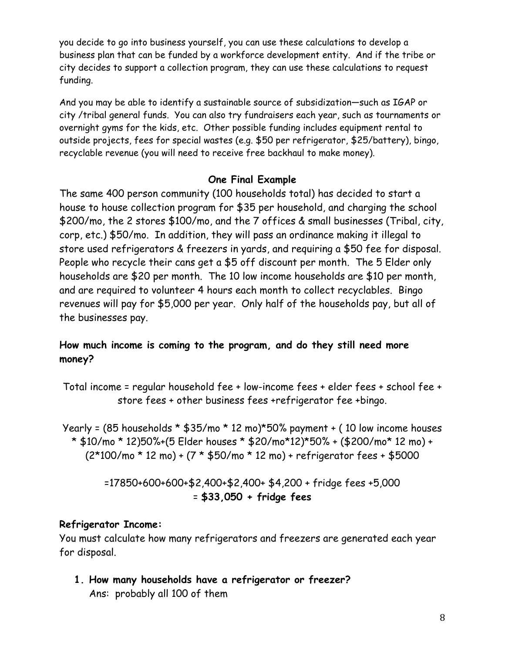you decide to go into business yourself, you can use these calculations to develop a business plan that can be funded by a workforce development entity. And if the tribe or city decides to support a collection program, they can use these calculations to request funding.

And you may be able to identify a sustainable source of subsidization—such as IGAP or city /tribal general funds. You can also try fundraisers each year, such as tournaments or overnight gyms for the kids, etc. Other possible funding includes equipment rental to outside projects, fees for special wastes (e.g. \$50 per refrigerator, \$25/battery), bingo, recyclable revenue (you will need to receive free backhaul to make money).

# **One Final Example**

The same 400 person community (100 households total) has decided to start a house to house collection program for \$35 per household, and charging the school \$200/mo, the 2 stores \$100/mo, and the 7 offices & small businesses (Tribal, city, corp, etc.) \$50/mo. In addition, they will pass an ordinance making it illegal to store used refrigerators & freezers in yards, and requiring a \$50 fee for disposal. People who recycle their cans get a \$5 off discount per month. The 5 Elder only households are \$20 per month. The 10 low income households are \$10 per month, and are required to volunteer 4 hours each month to collect recyclables. Bingo revenues will pay for \$5,000 per year. Only half of the households pay, but all of the businesses pay.

# **How much income is coming to the program, and do they still need more money?**

Total income = regular household fee + low-income fees + elder fees + school fee + store fees + other business fees +refrigerator fee +bingo.

Yearly = (85 households \* \$35/mo \* 12 mo)\*50% payment + ( 10 low income houses \* \$10/mo \* 12)50%+(5 Elder houses \* \$20/mo\*12)\*50% + (\$200/mo\* 12 mo) + (2\*100/mo \* 12 mo) + (7 \* \$50/mo \* 12 mo) + refrigerator fees + \$5000

> =17850+600+600+\$2,400+\$2,400+ \$4,200 + fridge fees +5,000 = **\$33,050 + fridge fees**

# **Refrigerator Income:**

You must calculate how many refrigerators and freezers are generated each year for disposal.

**1. How many households have a refrigerator or freezer?**  Ans: probably all 100 of them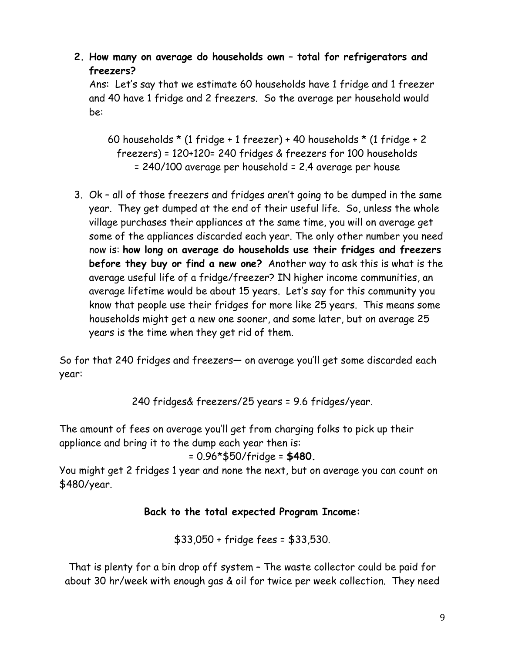**2. How many on average do households own – total for refrigerators and freezers?** 

Ans: Let's say that we estimate 60 households have 1 fridge and 1 freezer and 40 have 1 fridge and 2 freezers. So the average per household would be:

60 households  $*$  (1 fridge + 1 freezer) + 40 households  $*$  (1 fridge + 2 freezers) = 120+120= 240 fridges & freezers for 100 households = 240/100 average per household = 2.4 average per house

3. Ok – all of those freezers and fridges aren't going to be dumped in the same year. They get dumped at the end of their useful life. So, unless the whole village purchases their appliances at the same time, you will on average get some of the appliances discarded each year. The only other number you need now is: **how long on average do households use their fridges and freezers before they buy or find a new one?** Another way to ask this is what is the average useful life of a fridge/freezer? IN higher income communities, an average lifetime would be about 15 years. Let's say for this community you know that people use their fridges for more like 25 years. This means some households might get a new one sooner, and some later, but on average 25 years is the time when they get rid of them.

So for that 240 fridges and freezers— on average you'll get some discarded each year:

240 fridges& freezers/25 years = 9.6 fridges/year.

The amount of fees on average you'll get from charging folks to pick up their appliance and bring it to the dump each year then is:

= 0.96\*\$50/fridge = **\$480.**

You might get 2 fridges 1 year and none the next, but on average you can count on \$480/year.

# **Back to the total expected Program Income:**

\$33,050 + fridge fees = \$33,530.

That is plenty for a bin drop off system – The waste collector could be paid for about 30 hr/week with enough gas & oil for twice per week collection. They need